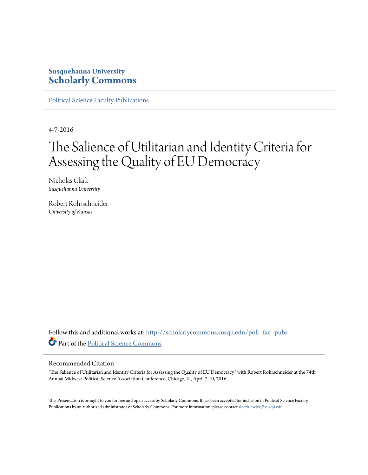# **Susquehanna University [Scholarly Commons](http://scholarlycommons.susqu.edu?utm_source=scholarlycommons.susqu.edu%2Fpoli_fac_pubs%2F3&utm_medium=PDF&utm_campaign=PDFCoverPages)**

[Political Science Faculty Publications](http://scholarlycommons.susqu.edu/poli_fac_pubs?utm_source=scholarlycommons.susqu.edu%2Fpoli_fac_pubs%2F3&utm_medium=PDF&utm_campaign=PDFCoverPages)

4-7-2016

# The Salience of Utilitarian and Identity Criteria for Assessing the Quality of EU Democracy

Nicholas Clark *Susquehanna University*

Robert Rohrschneider *University of Kansas*

Follow this and additional works at: [http://scholarlycommons.susqu.edu/poli\\_fac\\_pubs](http://scholarlycommons.susqu.edu/poli_fac_pubs?utm_source=scholarlycommons.susqu.edu%2Fpoli_fac_pubs%2F3&utm_medium=PDF&utm_campaign=PDFCoverPages) Part of the [Political Science Commons](http://network.bepress.com/hgg/discipline/386?utm_source=scholarlycommons.susqu.edu%2Fpoli_fac_pubs%2F3&utm_medium=PDF&utm_campaign=PDFCoverPages)

#### Recommended Citation

"The Salience of Utilitarian and Identity Criteria for Assessing the Quality of EU Democracy" with Robert Rohrschneider at the 74th Annual Midwest Political Science Association Conference, Chicago, IL, April 7-10, 2016.

This Presentation is brought to you for free and open access by Scholarly Commons. It has been accepted for inclusion in Political Science Faculty Publications by an authorized administrator of Scholarly Commons. For more information, please contact [sieczkiewicz@susqu.edu](mailto:sieczkiewicz@susqu.edu).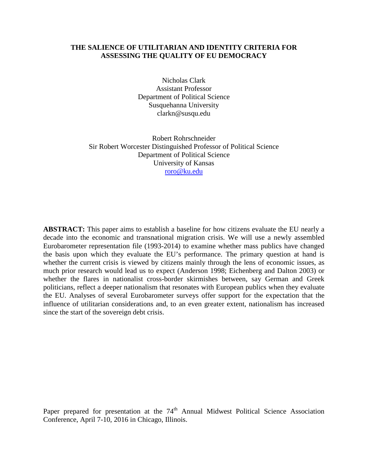# **THE SALIENCE OF UTILITARIAN AND IDENTITY CRITERIA FOR ASSESSING THE QUALITY OF EU DEMOCRACY**

Nicholas Clark Assistant Professor Department of Political Science Susquehanna University clarkn@susqu.edu

Robert Rohrschneider Sir Robert Worcester Distinguished Professor of Political Science Department of Political Science University of Kansas [roro@ku.edu](mailto:roro@ku.edu)

**ABSTRACT:** This paper aims to establish a baseline for how citizens evaluate the EU nearly a decade into the economic and transnational migration crisis. We will use a newly assembled Eurobarometer representation file (1993-2014) to examine whether mass publics have changed the basis upon which they evaluate the EU's performance. The primary question at hand is whether the current crisis is viewed by citizens mainly through the lens of economic issues, as much prior research would lead us to expect (Anderson 1998; Eichenberg and Dalton 2003) or whether the flares in nationalist cross-border skirmishes between, say German and Greek politicians, reflect a deeper nationalism that resonates with European publics when they evaluate the EU. Analyses of several Eurobarometer surveys offer support for the expectation that the influence of utilitarian considerations and, to an even greater extent, nationalism has increased since the start of the sovereign debt crisis.

Paper prepared for presentation at the 74<sup>th</sup> Annual Midwest Political Science Association Conference, April 7-10, 2016 in Chicago, Illinois.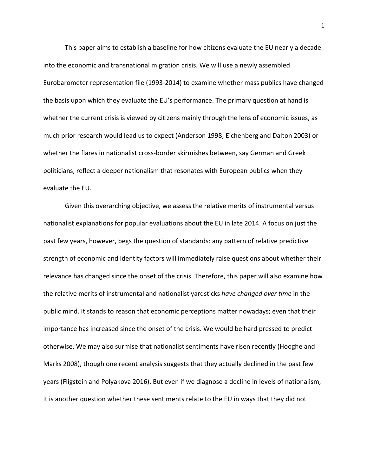This paper aims to establish a baseline for how citizens evaluate the EU nearly a decade into the economic and transnational migration crisis. We will use a newly assembled Eurobarometer representation file (1993-2014) to examine whether mass publics have changed the basis upon which they evaluate the EU's performance. The primary question at hand is whether the current crisis is viewed by citizens mainly through the lens of economic issues, as much prior research would lead us to expect (Anderson 1998; Eichenberg and Dalton 2003) or whether the flares in nationalist cross-border skirmishes between, say German and Greek politicians, reflect a deeper nationalism that resonates with European publics when they evaluate the EU.

Given this overarching objective, we assess the relative merits of instrumental versus nationalist explanations for popular evaluations about the EU in late 2014. A focus on just the past few years, however, begs the question of standards: any pattern of relative predictive strength of economic and identity factors will immediately raise questions about whether their relevance has changed since the onset of the crisis. Therefore, this paper will also examine how the relative merits of instrumental and nationalist yardsticks *have changed over time* in the public mind. It stands to reason that economic perceptions matter nowadays; even that their importance has increased since the onset of the crisis. We would be hard pressed to predict otherwise. We may also surmise that nationalist sentiments have risen recently (Hooghe and Marks 2008), though one recent analysis suggests that they actually declined in the past few years (Fligstein and Polyakova 2016). But even if we diagnose a decline in levels of nationalism, it is another question whether these sentiments relate to the EU in ways that they did not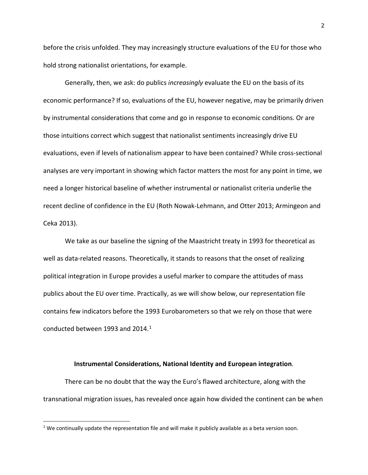before the crisis unfolded. They may increasingly structure evaluations of the EU for those who hold strong nationalist orientations, for example.

Generally, then, we ask: do publics *increasingly* evaluate the EU on the basis of its economic performance? If so, evaluations of the EU, however negative, may be primarily driven by instrumental considerations that come and go in response to economic conditions. Or are those intuitions correct which suggest that nationalist sentiments increasingly drive EU evaluations, even if levels of nationalism appear to have been contained? While cross-sectional analyses are very important in showing which factor matters the most for any point in time, we need a longer historical baseline of whether instrumental or nationalist criteria underlie the recent decline of confidence in the EU (Roth Nowak-Lehmann, and Otter 2013; Armingeon and Ceka 2013).

We take as our baseline the signing of the Maastricht treaty in 1993 for theoretical as well as data-related reasons. Theoretically, it stands to reasons that the onset of realizing political integration in Europe provides a useful marker to compare the attitudes of mass publics about the EU over time. Practically, as we will show below, our representation file contains few indicators before the 1993 Eurobarometers so that we rely on those that were conducted between 1993 and 2014. [1](#page-3-0)

#### **Instrumental Considerations, National Identity and European integration**.

There can be no doubt that the way the Euro's flawed architecture, along with the transnational migration issues, has revealed once again how divided the continent can be when

<span id="page-3-0"></span> $1$  We continually update the representation file and will make it publicly available as a beta version soon.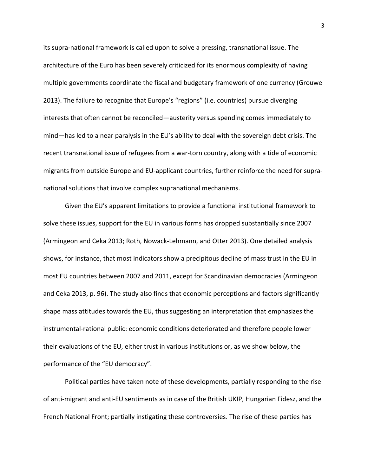its supra-national framework is called upon to solve a pressing, transnational issue. The architecture of the Euro has been severely criticized for its enormous complexity of having multiple governments coordinate the fiscal and budgetary framework of one currency (Grouwe 2013). The failure to recognize that Europe's "regions" (i.e. countries) pursue diverging interests that often cannot be reconciled—austerity versus spending comes immediately to mind—has led to a near paralysis in the EU's ability to deal with the sovereign debt crisis. The recent transnational issue of refugees from a war-torn country, along with a tide of economic migrants from outside Europe and EU-applicant countries, further reinforce the need for supranational solutions that involve complex supranational mechanisms.

Given the EU's apparent limitations to provide a functional institutional framework to solve these issues, support for the EU in various forms has dropped substantially since 2007 (Armingeon and Ceka 2013; Roth, Nowack-Lehmann, and Otter 2013). One detailed analysis shows, for instance, that most indicators show a precipitous decline of mass trust in the EU in most EU countries between 2007 and 2011, except for Scandinavian democracies (Armingeon and Ceka 2013, p. 96). The study also finds that economic perceptions and factors significantly shape mass attitudes towards the EU, thus suggesting an interpretation that emphasizes the instrumental-rational public: economic conditions deteriorated and therefore people lower their evaluations of the EU, either trust in various institutions or, as we show below, the performance of the "EU democracy".

Political parties have taken note of these developments, partially responding to the rise of anti-migrant and anti-EU sentiments as in case of the British UKIP, Hungarian Fidesz, and the French National Front; partially instigating these controversies. The rise of these parties has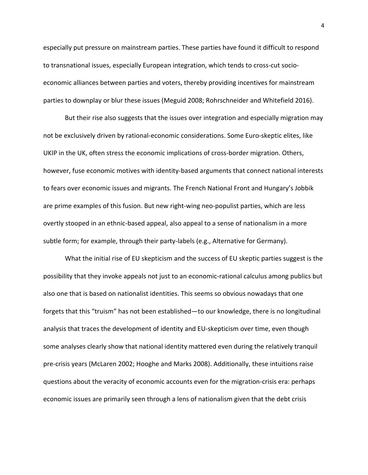especially put pressure on mainstream parties. These parties have found it difficult to respond to transnational issues, especially European integration, which tends to cross-cut socioeconomic alliances between parties and voters, thereby providing incentives for mainstream parties to downplay or blur these issues (Meguid 2008; Rohrschneider and Whitefield 2016).

But their rise also suggests that the issues over integration and especially migration may not be exclusively driven by rational-economic considerations. Some Euro-skeptic elites, like UKIP in the UK, often stress the economic implications of cross-border migration. Others, however, fuse economic motives with identity-based arguments that connect national interests to fears over economic issues and migrants. The French National Front and Hungary's Jobbik are prime examples of this fusion. But new right-wing neo-populist parties, which are less overtly stooped in an ethnic-based appeal, also appeal to a sense of nationalism in a more subtle form; for example, through their party-labels (e.g., Alternative for Germany).

What the initial rise of EU skepticism and the success of EU skeptic parties suggest is the possibility that they invoke appeals not just to an economic-rational calculus among publics but also one that is based on nationalist identities. This seems so obvious nowadays that one forgets that this "truism" has not been established—to our knowledge, there is no longitudinal analysis that traces the development of identity and EU-skepticism over time, even though some analyses clearly show that national identity mattered even during the relatively tranquil pre-crisis years (McLaren 2002; Hooghe and Marks 2008). Additionally, these intuitions raise questions about the veracity of economic accounts even for the migration-crisis era: perhaps economic issues are primarily seen through a lens of nationalism given that the debt crisis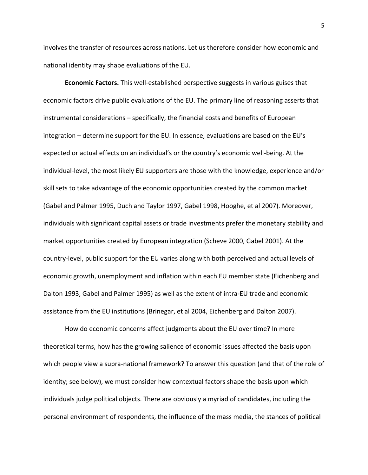involves the transfer of resources across nations. Let us therefore consider how economic and national identity may shape evaluations of the EU.

**Economic Factors.** This well-established perspective suggests in various guises that economic factors drive public evaluations of the EU. The primary line of reasoning asserts that instrumental considerations – specifically, the financial costs and benefits of European integration – determine support for the EU. In essence, evaluations are based on the EU's expected or actual effects on an individual's or the country's economic well-being. At the individual-level, the most likely EU supporters are those with the knowledge, experience and/or skill sets to take advantage of the economic opportunities created by the common market (Gabel and Palmer 1995, Duch and Taylor 1997, Gabel 1998, Hooghe, et al 2007). Moreover, individuals with significant capital assets or trade investments prefer the monetary stability and market opportunities created by European integration (Scheve 2000, Gabel 2001). At the country-level, public support for the EU varies along with both perceived and actual levels of economic growth, unemployment and inflation within each EU member state (Eichenberg and Dalton 1993, Gabel and Palmer 1995) as well as the extent of intra-EU trade and economic assistance from the EU institutions (Brinegar, et al 2004, Eichenberg and Dalton 2007).

How do economic concerns affect judgments about the EU over time? In more theoretical terms, how has the growing salience of economic issues affected the basis upon which people view a supra-national framework? To answer this question (and that of the role of identity; see below), we must consider how contextual factors shape the basis upon which individuals judge political objects. There are obviously a myriad of candidates, including the personal environment of respondents, the influence of the mass media, the stances of political

5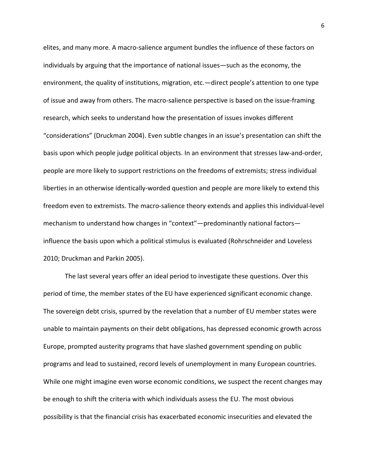elites, and many more. A macro-salience argument bundles the influence of these factors on individuals by arguing that the importance of national issues—such as the economy, the environment, the quality of institutions, migration, etc.—direct people's attention to one type of issue and away from others. The macro-salience perspective is based on the issue-framing research, which seeks to understand how the presentation of issues invokes different "considerations" (Druckman 2004). Even subtle changes in an issue's presentation can shift the basis upon which people judge political objects. In an environment that stresses law-and-order, people are more likely to support restrictions on the freedoms of extremists; stress individual liberties in an otherwise identically-worded question and people are more likely to extend this freedom even to extremists. The macro-salience theory extends and applies this individual-level mechanism to understand how changes in "context"—predominantly national factors influence the basis upon which a political stimulus is evaluated (Rohrschneider and Loveless 2010; Druckman and Parkin 2005).

The last several years offer an ideal period to investigate these questions. Over this period of time, the member states of the EU have experienced significant economic change. The sovereign debt crisis, spurred by the revelation that a number of EU member states were unable to maintain payments on their debt obligations, has depressed economic growth across Europe, prompted austerity programs that have slashed government spending on public programs and lead to sustained, record levels of unemployment in many European countries. While one might imagine even worse economic conditions, we suspect the recent changes may be enough to shift the criteria with which individuals assess the EU. The most obvious possibility is that the financial crisis has exacerbated economic insecurities and elevated the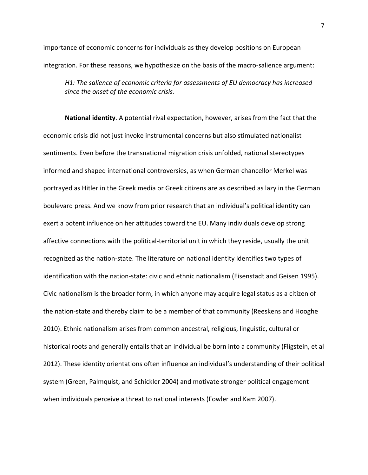importance of economic concerns for individuals as they develop positions on European integration. For these reasons, we hypothesize on the basis of the macro-salience argument:

*H1: The salience of economic criteria for assessments of EU democracy has increased since the onset of the economic crisis.* 

**National identity**. A potential rival expectation, however, arises from the fact that the economic crisis did not just invoke instrumental concerns but also stimulated nationalist sentiments. Even before the transnational migration crisis unfolded, national stereotypes informed and shaped international controversies, as when German chancellor Merkel was portrayed as Hitler in the Greek media or Greek citizens are as described as lazy in the German boulevard press. And we know from prior research that an individual's political identity can exert a potent influence on her attitudes toward the EU. Many individuals develop strong affective connections with the political-territorial unit in which they reside, usually the unit recognized as the nation-state. The literature on national identity identifies two types of identification with the nation-state: civic and ethnic nationalism (Eisenstadt and Geisen 1995). Civic nationalism is the broader form, in which anyone may acquire legal status as a citizen of the nation-state and thereby claim to be a member of that community (Reeskens and Hooghe 2010). Ethnic nationalism arises from common ancestral, religious, linguistic, cultural or historical roots and generally entails that an individual be born into a community (Fligstein, et al 2012). These identity orientations often influence an individual's understanding of their political system (Green, Palmquist, and Schickler 2004) and motivate stronger political engagement when individuals perceive a threat to national interests (Fowler and Kam 2007).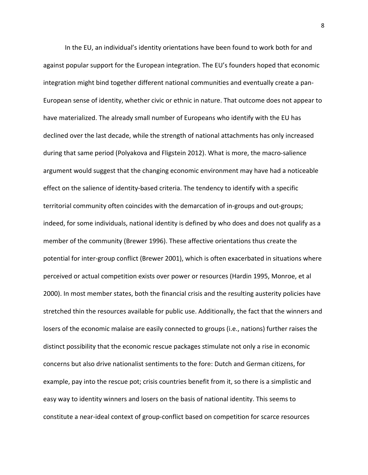In the EU, an individual's identity orientations have been found to work both for and against popular support for the European integration. The EU's founders hoped that economic integration might bind together different national communities and eventually create a pan-European sense of identity, whether civic or ethnic in nature. That outcome does not appear to have materialized. The already small number of Europeans who identify with the EU has declined over the last decade, while the strength of national attachments has only increased during that same period (Polyakova and Fligstein 2012). What is more, the macro-salience argument would suggest that the changing economic environment may have had a noticeable effect on the salience of identity-based criteria. The tendency to identify with a specific territorial community often coincides with the demarcation of in-groups and out-groups; indeed, for some individuals, national identity is defined by who does and does not qualify as a member of the community (Brewer 1996). These affective orientations thus create the potential for inter-group conflict (Brewer 2001), which is often exacerbated in situations where perceived or actual competition exists over power or resources (Hardin 1995, Monroe, et al 2000). In most member states, both the financial crisis and the resulting austerity policies have stretched thin the resources available for public use. Additionally, the fact that the winners and losers of the economic malaise are easily connected to groups (i.e., nations) further raises the distinct possibility that the economic rescue packages stimulate not only a rise in economic concerns but also drive nationalist sentiments to the fore: Dutch and German citizens, for example, pay into the rescue pot; crisis countries benefit from it, so there is a simplistic and easy way to identity winners and losers on the basis of national identity. This seems to constitute a near-ideal context of group-conflict based on competition for scarce resources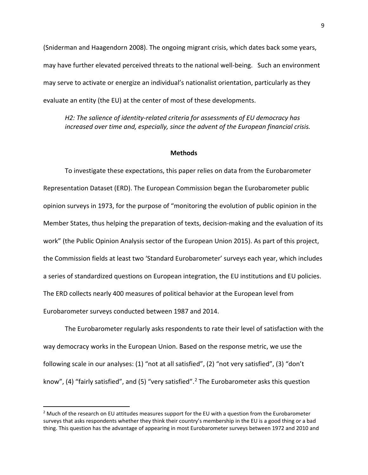(Sniderman and Haagendorn 2008). The ongoing migrant crisis, which dates back some years, may have further elevated perceived threats to the national well-being. Such an environment may serve to activate or energize an individual's nationalist orientation, particularly as they evaluate an entity (the EU) at the center of most of these developments.

*H2: The salience of identity-related criteria for assessments of EU democracy has increased over time and, especially, since the advent of the European financial crisis.* 

#### **Methods**

To investigate these expectations, this paper relies on data from the Eurobarometer Representation Dataset (ERD). The European Commission began the Eurobarometer public opinion surveys in 1973, for the purpose of "monitoring the evolution of public opinion in the Member States, thus helping the preparation of texts, decision-making and the evaluation of its work" (the Public Opinion Analysis sector of the European Union 2015). As part of this project, the Commission fields at least two 'Standard Eurobarometer' surveys each year, which includes a series of standardized questions on European integration, the EU institutions and EU policies. The ERD collects nearly 400 measures of political behavior at the European level from Eurobarometer surveys conducted between 1987 and 2014.

The Eurobarometer regularly asks respondents to rate their level of satisfaction with the way democracy works in the European Union. Based on the response metric, we use the following scale in our analyses: (1) "not at all satisfied", (2) "not very satisfied", (3) "don't know", (4) "fairly satisfied", and (5) "very satisfied".[2](#page-10-0) The Eurobarometer asks this question

<span id="page-10-0"></span> $<sup>2</sup>$  Much of the research on EU attitudes measures support for the EU with a question from the Eurobarometer</sup> surveys that asks respondents whether they think their country's membership in the EU is a good thing or a bad thing. This question has the advantage of appearing in most Eurobarometer surveys between 1972 and 2010 and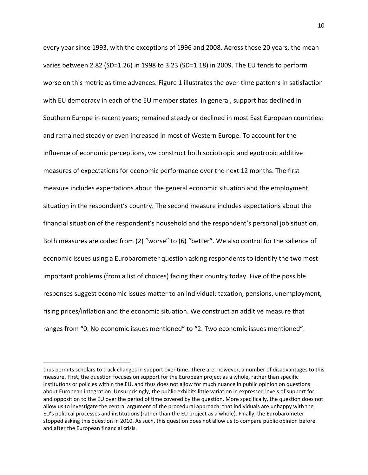every year since 1993, with the exceptions of 1996 and 2008. Across those 20 years, the mean varies between 2.82 (SD=1.26) in 1998 to 3.23 (SD=1.18) in 2009. The EU tends to perform worse on this metric as time advances. Figure 1 illustrates the over-time patterns in satisfaction with EU democracy in each of the EU member states. In general, support has declined in Southern Europe in recent years; remained steady or declined in most East European countries; and remained steady or even increased in most of Western Europe. To account for the influence of economic perceptions, we construct both sociotropic and egotropic additive measures of expectations for economic performance over the next 12 months. The first measure includes expectations about the general economic situation and the employment situation in the respondent's country. The second measure includes expectations about the financial situation of the respondent's household and the respondent's personal job situation. Both measures are coded from (2) "worse" to (6) "better". We also control for the salience of economic issues using a Eurobarometer question asking respondents to identify the two most important problems (from a list of choices) facing their country today. Five of the possible responses suggest economic issues matter to an individual: taxation, pensions, unemployment, rising prices/inflation and the economic situation. We construct an additive measure that ranges from "0. No economic issues mentioned" to "2. Two economic issues mentioned".

 $\overline{a}$ 

thus permits scholars to track changes in support over time. There are, however, a number of disadvantages to this measure. First, the question focuses on support for the European project as a whole, rather than specific institutions or policies within the EU, and thus does not allow for much nuance in public opinion on questions about European integration. Unsurprisingly, the public exhibits little variation in expressed levels of support for and opposition to the EU over the period of time covered by the question. More specifically, the question does not allow us to investigate the central argument of the procedural approach: that individuals are unhappy with the EU's political processes and institutions (rather than the EU project as a whole). Finally, the Eurobarometer stopped asking this question in 2010. As such, this question does not allow us to compare public opinion before and after the European financial crisis.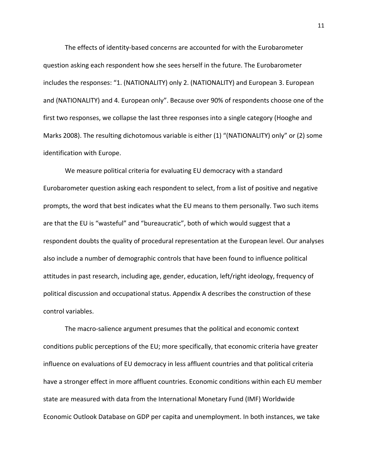The effects of identity-based concerns are accounted for with the Eurobarometer question asking each respondent how she sees herself in the future. The Eurobarometer includes the responses: "1. (NATIONALITY) only 2. (NATIONALITY) and European 3. European and (NATIONALITY) and 4. European only". Because over 90% of respondents choose one of the first two responses, we collapse the last three responses into a single category (Hooghe and Marks 2008). The resulting dichotomous variable is either (1) "(NATIONALITY) only" or (2) some identification with Europe.

We measure political criteria for evaluating EU democracy with a standard Eurobarometer question asking each respondent to select, from a list of positive and negative prompts, the word that best indicates what the EU means to them personally. Two such items are that the EU is "wasteful" and "bureaucratic", both of which would suggest that a respondent doubts the quality of procedural representation at the European level. Our analyses also include a number of demographic controls that have been found to influence political attitudes in past research, including age, gender, education, left/right ideology, frequency of political discussion and occupational status. Appendix A describes the construction of these control variables.

The macro-salience argument presumes that the political and economic context conditions public perceptions of the EU; more specifically, that economic criteria have greater influence on evaluations of EU democracy in less affluent countries and that political criteria have a stronger effect in more affluent countries. Economic conditions within each EU member state are measured with data from the International Monetary Fund (IMF) Worldwide Economic Outlook Database on GDP per capita and unemployment. In both instances, we take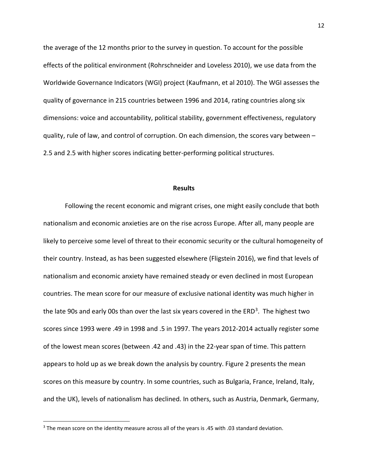the average of the 12 months prior to the survey in question. To account for the possible effects of the political environment (Rohrschneider and Loveless 2010), we use data from the Worldwide Governance Indicators (WGI) project (Kaufmann, et al 2010). The WGI assesses the quality of governance in 215 countries between 1996 and 2014, rating countries along six dimensions: voice and accountability, political stability, government effectiveness, regulatory quality, rule of law, and control of corruption. On each dimension, the scores vary between – 2.5 and 2.5 with higher scores indicating better-performing political structures.

#### **Results**

Following the recent economic and migrant crises, one might easily conclude that both nationalism and economic anxieties are on the rise across Europe. After all, many people are likely to perceive some level of threat to their economic security or the cultural homogeneity of their country. Instead, as has been suggested elsewhere (Fligstein 2016), we find that levels of nationalism and economic anxiety have remained steady or even declined in most European countries. The mean score for our measure of exclusive national identity was much higher in the late 90s and early 00s than over the last six years covered in the  $ERD<sup>3</sup>$  $ERD<sup>3</sup>$  $ERD<sup>3</sup>$ . The highest two scores since 1993 were .49 in 1998 and .5 in 1997. The years 2012-2014 actually register some of the lowest mean scores (between .42 and .43) in the 22-year span of time. This pattern appears to hold up as we break down the analysis by country. Figure 2 presents the mean scores on this measure by country. In some countries, such as Bulgaria, France, Ireland, Italy, and the UK), levels of nationalism has declined. In others, such as Austria, Denmark, Germany,

<span id="page-13-0"></span> <sup>3</sup> The mean score on the identity measure across all of the years is .45 with .03 standard deviation.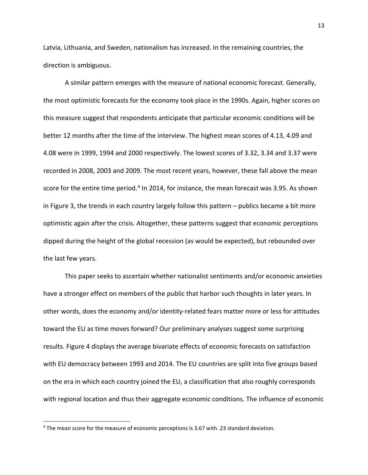Latvia, Lithuania, and Sweden, nationalism has increased. In the remaining countries, the direction is ambiguous.

A similar pattern emerges with the measure of national economic forecast. Generally, the most optimistic forecasts for the economy took place in the 1990s. Again, higher scores on this measure suggest that respondents anticipate that particular economic conditions will be better 12 months after the time of the interview. The highest mean scores of 4.13, 4.09 and 4.08 were in 1999, 1994 and 2000 respectively. The lowest scores of 3.32, 3.34 and 3.37 were recorded in 2008, 2003 and 2009. The most recent years, however, these fall above the mean score for the entire time period.<sup>[4](#page-14-0)</sup> In 2014, for instance, the mean forecast was 3.95. As shown in Figure 3, the trends in each country largely follow this pattern – publics became a bit more optimistic again after the crisis. Altogether, these patterns suggest that economic perceptions dipped during the height of the global recession (as would be expected), but rebounded over the last few years.

This paper seeks to ascertain whether nationalist sentiments and/or economic anxieties have a stronger effect on members of the public that harbor such thoughts in later years. In other words, does the economy and/or identity-related fears matter more or less for attitudes toward the EU as time moves forward? Our preliminary analyses suggest some surprising results. Figure 4 displays the average bivariate effects of economic forecasts on satisfaction with EU democracy between 1993 and 2014. The EU countries are split into five groups based on the era in which each country joined the EU, a classification that also roughly corresponds with regional location and thus their aggregate economic conditions. The influence of economic

<span id="page-14-0"></span> <sup>4</sup> The mean score for the measure of economic perceptions is 3.67 with .23 standard deviation.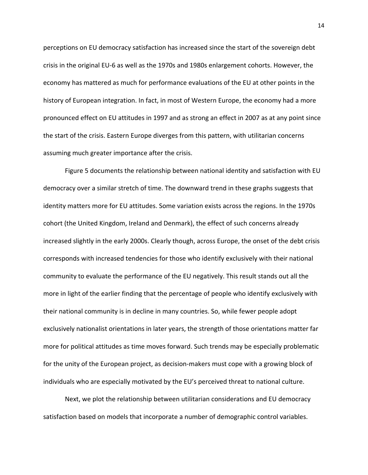perceptions on EU democracy satisfaction has increased since the start of the sovereign debt crisis in the original EU-6 as well as the 1970s and 1980s enlargement cohorts. However, the economy has mattered as much for performance evaluations of the EU at other points in the history of European integration. In fact, in most of Western Europe, the economy had a more pronounced effect on EU attitudes in 1997 and as strong an effect in 2007 as at any point since the start of the crisis. Eastern Europe diverges from this pattern, with utilitarian concerns assuming much greater importance after the crisis.

Figure 5 documents the relationship between national identity and satisfaction with EU democracy over a similar stretch of time. The downward trend in these graphs suggests that identity matters more for EU attitudes. Some variation exists across the regions. In the 1970s cohort (the United Kingdom, Ireland and Denmark), the effect of such concerns already increased slightly in the early 2000s. Clearly though, across Europe, the onset of the debt crisis corresponds with increased tendencies for those who identify exclusively with their national community to evaluate the performance of the EU negatively. This result stands out all the more in light of the earlier finding that the percentage of people who identify exclusively with their national community is in decline in many countries. So, while fewer people adopt exclusively nationalist orientations in later years, the strength of those orientations matter far more for political attitudes as time moves forward. Such trends may be especially problematic for the unity of the European project, as decision-makers must cope with a growing block of individuals who are especially motivated by the EU's perceived threat to national culture.

Next, we plot the relationship between utilitarian considerations and EU democracy satisfaction based on models that incorporate a number of demographic control variables.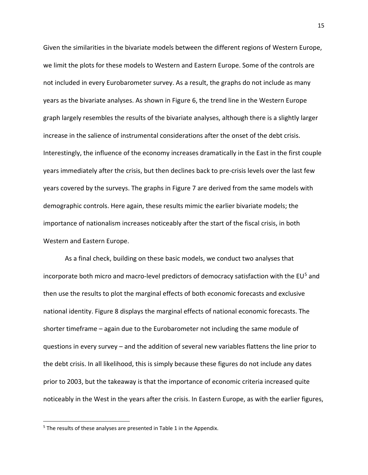Given the similarities in the bivariate models between the different regions of Western Europe, we limit the plots for these models to Western and Eastern Europe. Some of the controls are not included in every Eurobarometer survey. As a result, the graphs do not include as many years as the bivariate analyses. As shown in Figure 6, the trend line in the Western Europe graph largely resembles the results of the bivariate analyses, although there is a slightly larger increase in the salience of instrumental considerations after the onset of the debt crisis. Interestingly, the influence of the economy increases dramatically in the East in the first couple years immediately after the crisis, but then declines back to pre-crisis levels over the last few years covered by the surveys. The graphs in Figure 7 are derived from the same models with demographic controls. Here again, these results mimic the earlier bivariate models; the importance of nationalism increases noticeably after the start of the fiscal crisis, in both Western and Eastern Europe.

As a final check, building on these basic models, we conduct two analyses that incorporate both micro and macro-level predictors of democracy satisfaction with the EU<sup>[5](#page-16-0)</sup> and then use the results to plot the marginal effects of both economic forecasts and exclusive national identity. Figure 8 displays the marginal effects of national economic forecasts. The shorter timeframe – again due to the Eurobarometer not including the same module of questions in every survey – and the addition of several new variables flattens the line prior to the debt crisis. In all likelihood, this is simply because these figures do not include any dates prior to 2003, but the takeaway is that the importance of economic criteria increased quite noticeably in the West in the years after the crisis. In Eastern Europe, as with the earlier figures,

<span id="page-16-0"></span><sup>&</sup>lt;sup>5</sup> The results of these analyses are presented in Table 1 in the Appendix.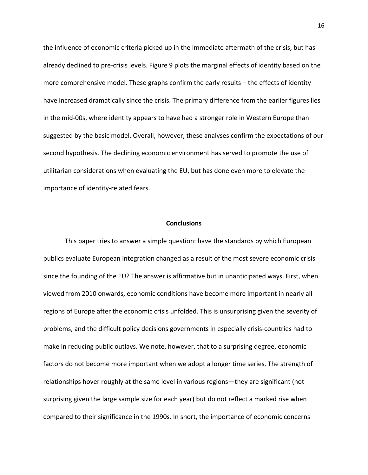the influence of economic criteria picked up in the immediate aftermath of the crisis, but has already declined to pre-crisis levels. Figure 9 plots the marginal effects of identity based on the more comprehensive model. These graphs confirm the early results – the effects of identity have increased dramatically since the crisis. The primary difference from the earlier figures lies in the mid-00s, where identity appears to have had a stronger role in Western Europe than suggested by the basic model. Overall, however, these analyses confirm the expectations of our second hypothesis. The declining economic environment has served to promote the use of utilitarian considerations when evaluating the EU, but has done even more to elevate the importance of identity-related fears.

#### **Conclusions**

This paper tries to answer a simple question: have the standards by which European publics evaluate European integration changed as a result of the most severe economic crisis since the founding of the EU? The answer is affirmative but in unanticipated ways. First, when viewed from 2010 onwards, economic conditions have become more important in nearly all regions of Europe after the economic crisis unfolded. This is unsurprising given the severity of problems, and the difficult policy decisions governments in especially crisis-countries had to make in reducing public outlays. We note, however, that to a surprising degree, economic factors do not become more important when we adopt a longer time series. The strength of relationships hover roughly at the same level in various regions—they are significant (not surprising given the large sample size for each year) but do not reflect a marked rise when compared to their significance in the 1990s. In short, the importance of economic concerns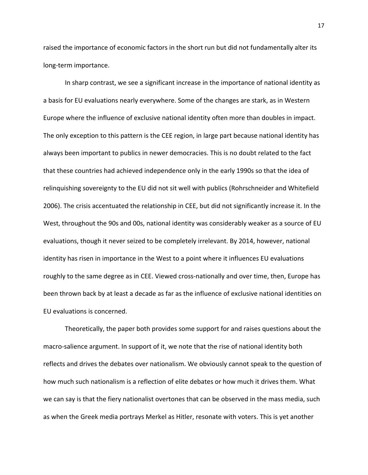raised the importance of economic factors in the short run but did not fundamentally alter its long-term importance.

In sharp contrast, we see a significant increase in the importance of national identity as a basis for EU evaluations nearly everywhere. Some of the changes are stark, as in Western Europe where the influence of exclusive national identity often more than doubles in impact. The only exception to this pattern is the CEE region, in large part because national identity has always been important to publics in newer democracies. This is no doubt related to the fact that these countries had achieved independence only in the early 1990s so that the idea of relinquishing sovereignty to the EU did not sit well with publics (Rohrschneider and Whitefield 2006). The crisis accentuated the relationship in CEE, but did not significantly increase it. In the West, throughout the 90s and 00s, national identity was considerably weaker as a source of EU evaluations, though it never seized to be completely irrelevant. By 2014, however, national identity has risen in importance in the West to a point where it influences EU evaluations roughly to the same degree as in CEE. Viewed cross-nationally and over time, then, Europe has been thrown back by at least a decade as far as the influence of exclusive national identities on EU evaluations is concerned.

Theoretically, the paper both provides some support for and raises questions about the macro-salience argument. In support of it, we note that the rise of national identity both reflects and drives the debates over nationalism. We obviously cannot speak to the question of how much such nationalism is a reflection of elite debates or how much it drives them. What we can say is that the fiery nationalist overtones that can be observed in the mass media, such as when the Greek media portrays Merkel as Hitler, resonate with voters. This is yet another

17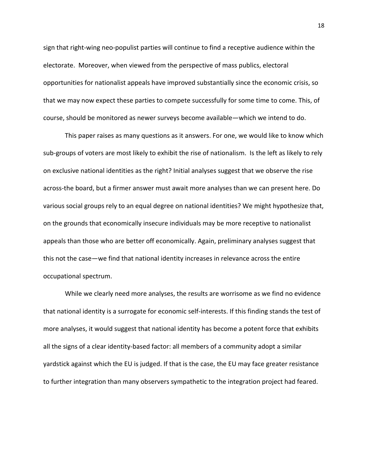sign that right-wing neo-populist parties will continue to find a receptive audience within the electorate. Moreover, when viewed from the perspective of mass publics, electoral opportunities for nationalist appeals have improved substantially since the economic crisis, so that we may now expect these parties to compete successfully for some time to come. This, of course, should be monitored as newer surveys become available—which we intend to do.

This paper raises as many questions as it answers. For one, we would like to know which sub-groups of voters are most likely to exhibit the rise of nationalism. Is the left as likely to rely on exclusive national identities as the right? Initial analyses suggest that we observe the rise across-the board, but a firmer answer must await more analyses than we can present here. Do various social groups rely to an equal degree on national identities? We might hypothesize that, on the grounds that economically insecure individuals may be more receptive to nationalist appeals than those who are better off economically. Again, preliminary analyses suggest that this not the case—we find that national identity increases in relevance across the entire occupational spectrum.

While we clearly need more analyses, the results are worrisome as we find no evidence that national identity is a surrogate for economic self-interests. If this finding stands the test of more analyses, it would suggest that national identity has become a potent force that exhibits all the signs of a clear identity-based factor: all members of a community adopt a similar yardstick against which the EU is judged. If that is the case, the EU may face greater resistance to further integration than many observers sympathetic to the integration project had feared.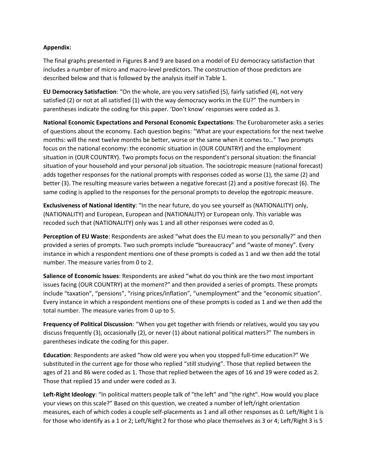## **Appendix:**

The final graphs presented in Figures 8 and 9 are based on a model of EU democracy satisfaction that includes a number of micro and macro-level predictors. The construction of those predictors are described below and that is followed by the analysis itself in Table 1.

**EU Democracy Satisfaction**: "On the whole, are you very satisfied (5), fairly satisfied (4), not very satisfied (2) or not at all satisfied (1) with the way democracy works in the EU?" The numbers in parentheses indicate the coding for this paper. 'Don't know' responses were coded as 3.

**National Economic Expectations and Personal Economic Expectations**: The Eurobarometer asks a series of questions about the economy. Each question begins: "What are your expectations for the next twelve months: will the next twelve months be better, worse or the same when it comes to…" Two prompts focus on the national economy: the economic situation in (OUR COUNTRY) and the employment situation in (OUR COUNTRY). Two prompts focus on the respondent's personal situation: the financial situation of your household and your personal job situation. The sociotropic measure (national forecast) adds together responses for the national prompts with responses coded as worse (1), the same (2) and better (3). The resulting measure varies between a negative forecast (2) and a positive forecast (6). The same coding is applied to the responses for the personal prompts to develop the egotropic measure.

**Exclusiveness of National Identity**: "In the near future, do you see yourself as (NATIONALITY) only, (NATIONALITY) and European, European and (NATIONALITY) or European only. This variable was recoded such that (NATIONALITY) only was 1 and all other responses were coded as 0.

**Perception of EU Waste**: Respondents are asked "what does the EU mean to you personally?" and then provided a series of prompts. Two such prompts include "bureaucracy" and "waste of money". Every instance in which a respondent mentions one of these prompts is coded as 1 and we then add the total number. The measure varies from 0 to 2.

**Salience of Economic Issues**: Respondents are asked "what do you think are the two most important issues facing (OUR COUNTRY) at the moment?" and then provided a series of prompts. These prompts include "taxation", "pensions", "rising prices/inflation", "unemployment" and the "economic situation". Every instance in which a respondent mentions one of these prompts is coded as 1 and we then add the total number. The measure varies from 0 up to 5.

**Frequency of Political Discussion**: "When you get together with friends or relatives, would you say you discuss frequently (3), occasionally (2), or never (1) about national political matters?" The numbers in parentheses indicate the coding for this paper.

**Education**: Respondents are asked "how old were you when you stopped full-time education?" We substituted in the current age for those who replied "still studying". Those that replied between the ages of 21 and 86 were coded as 1. Those that replied between the ages of 16 and 19 were coded as 2. Those that replied 15 and under were coded as 3.

**Left-Right Ideology**: "In political matters people talk of "the left" and "the right". How would you place your views on this scale?" Based on this question, we created a number of left/right orientation measures, each of which codes a couple self-placements as 1 and all other responses as 0. Left/Right 1 is for those who identify as a 1 or 2; Left/Right 2 for those who place themselves as 3 or 4; Left/Right 3 is 5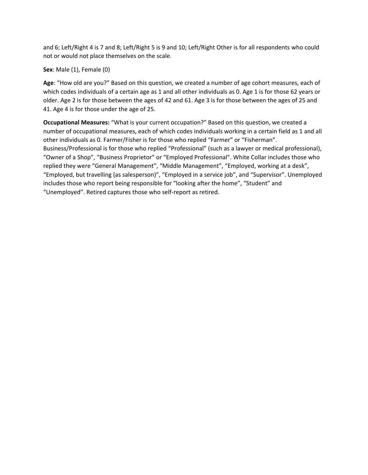and 6; Left/Right 4 is 7 and 8; Left/Right 5 is 9 and 10; Left/Right Other is for all respondents who could not or would not place themselves on the scale.

# **Sex**: Male (1), Female (0)

**Age**: "How old are you?" Based on this question, we created a number of age cohort measures, each of which codes individuals of a certain age as 1 and all other individuals as 0. Age 1 is for those 62 years or older. Age 2 is for those between the ages of 42 and 61. Age 3 is for those between the ages of 25 and 41. Age 4 is for those under the age of 25.

**Occupational Measures:** "What is your current occupation?" Based on this question, we created a number of occupational measures, each of which codes individuals working in a certain field as 1 and all other individuals as 0. Farmer/Fisher is for those who replied "Farmer" or "Fisherman". Business/Professional is for those who replied "Professional" (such as a lawyer or medical professional), "Owner of a Shop", "Business Proprietor" or "Employed Professional". White Collar includes those who replied they were "General Management", "Middle Management", "Employed, working at a desk", "Employed, but travelling (as salesperson)", "Employed in a service job", and "Supervisor". Unemployed includes those who report being responsible for "looking after the home", "Student" and "Unemployed". Retired captures those who self-report as retired.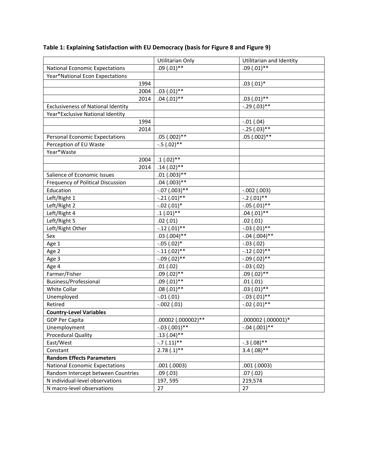|                                           | Utilitarian Only   | Utilitarian and Identity |
|-------------------------------------------|--------------------|--------------------------|
| <b>National Economic Expectations</b>     | $.09(0.01)$ **     | $.09(.01)$ **            |
| Year*National Econ Expectations           |                    |                          |
| 1994                                      |                    | $.03(.01)*$              |
| 2004                                      | $.03(.01)$ **      |                          |
| 2014                                      | $.04(.01)$ **      | $.03(.01)$ **            |
| <b>Exclusiveness of National Identity</b> |                    | $-.29(.03)**$            |
| Year*Exclusive National Identity          |                    |                          |
| 1994                                      |                    | $-.01(.04)$              |
| 2014                                      |                    | $-.25(.03)$ **           |
| <b>Personal Economic Expectations</b>     | $.05(.002)*$       | $.05(.002)$ **           |
| Perception of EU Waste                    | $-.5(.02)**$       |                          |
| Year*Waste                                |                    |                          |
| 2004                                      | $.1(.02)$ **       |                          |
| 2014                                      | $.14(.02)$ **      |                          |
| Salience of Economic Issues               | $.01(.003)$ **     |                          |
| Frequency of Political Discussion         | $.04(.003)$ **     |                          |
| Education                                 | $-.07(.003)**$     | $-.002(.003)$            |
| Left/Right 1                              | $-.21(.01)$ **     | $-.2(.01)$ **            |
| Left/Right 2                              | $-.02(.01)*$       | $-.05(.01)$ **           |
| Left/Right 4                              | $.1(.01)$ **       | $.04(.01)$ **            |
| Left/Right 5                              | .02(.01)           | .02(.01)                 |
| Left/Right Other                          | $-.12(.01)$ **     | $-.03(.01)$ **           |
| Sex                                       | $.03(.004)$ **     | $-.04(.004)$ **          |
| Age 1                                     | $-.05(.02)*$       | $-.03(.02)$              |
| Age 2                                     | $-.11(.02)$ **     | $-.12(.02)$ **           |
| Age 3                                     | $-.09(.02)$ **     | $-.09(.02)**$            |
| Age 4                                     | .01(.02)           | $-.03(.02)$              |
| Farmer/Fisher                             | $.09(.02)**$       | $.09(.02)$ **            |
| Business/Professional                     | $.09(.01)$ **      | .01(.01)                 |
| White Collar                              | $.08(.01)$ **      | $.03(.01)$ **            |
| Unemployed                                | $-.01(.01)$        | $-.03(.01)$ **           |
| Retired                                   | $-.002(.01)$       | $-.02(.01)$ **           |
| <b>Country-Level Variables</b>            |                    |                          |
| <b>GDP Per Capita</b>                     | .00002 (.000002)** | .000002 (.000001)*       |
| Unemployment                              | $-.03(.001)$ **    | $-.04(.001)$ **          |
| Procedural Quality                        | $.13(.04)$ **      |                          |
| East/West                                 | $-.7(.11)$ **      | $-.3(.08)$ **            |
| Constant                                  | $2.78(.1)$ **      | $3.4(.08)$ **            |
| <b>Random Effects Parameters</b>          |                    |                          |
| <b>National Economic Expectations</b>     | .001(.0003)        | .001(.0003)              |
| Random Intercept between Countries        | .09(0.03)          | .07(.02)                 |
| N individual-level observations           | 197, 595           | 219,574                  |
| N macro-level observations                | 27                 | 27                       |

# **Table 1: Explaining Satisfaction with EU Democracy (basis for Figure 8 and Figure 9)**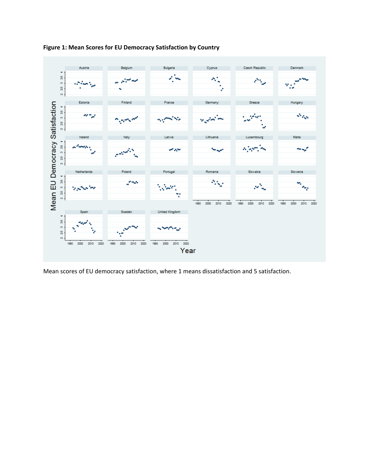

**Figure 1: Mean Scores for EU Democracy Satisfaction by Country** 

Mean scores of EU democracy satisfaction, where 1 means dissatisfaction and 5 satisfaction.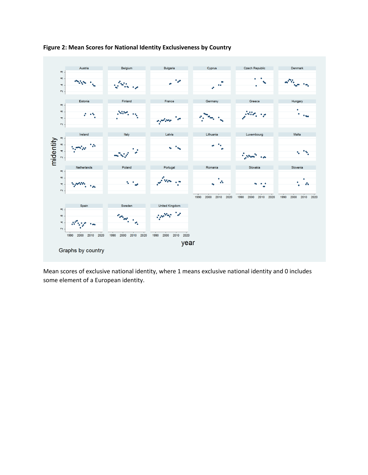



Mean scores of exclusive national identity, where 1 means exclusive national identity and 0 includes some element of a European identity.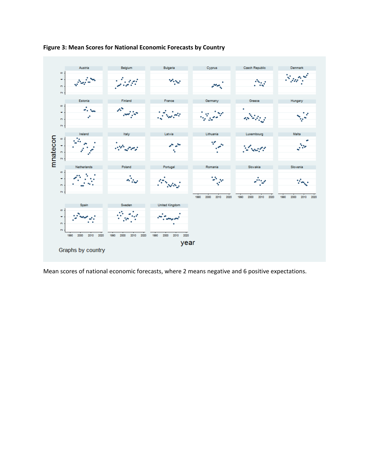



Mean scores of national economic forecasts, where 2 means negative and 6 positive expectations.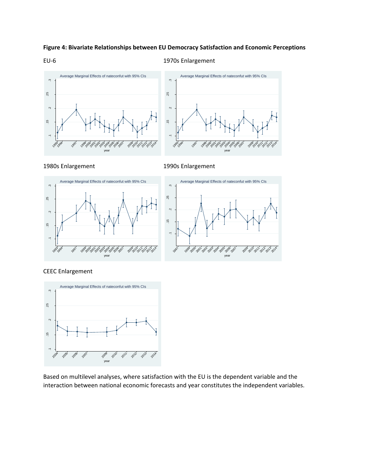### **Figure 4: Bivariate Relationships between EU Democracy Satisfaction and Economic Perceptions**

#### EU-6 1970s Enlargement





1980s Enlargement 1990s Enlargement



CEEC Enlargement



Based on multilevel analyses, where satisfaction with the EU is the dependent variable and the interaction between national economic forecasts and year constitutes the independent variables.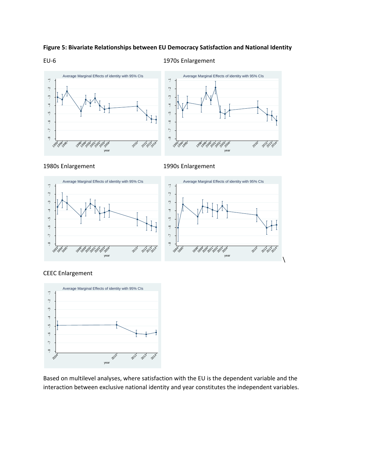### **Figure 5: Bivariate Relationships between EU Democracy Satisfaction and National Identity**

#### EU-6 1970s Enlargement





1980s Enlargement 1990s Enlargement



### CEEC Enlargement



Based on multilevel analyses, where satisfaction with the EU is the dependent variable and the interaction between exclusive national identity and year constitutes the independent variables.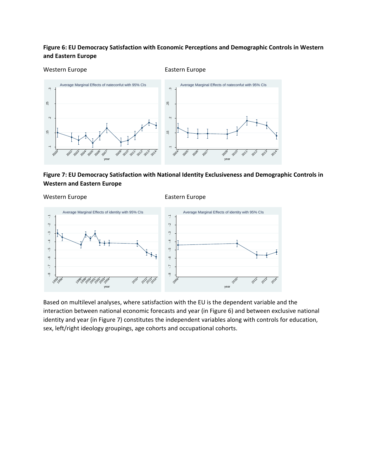# **Figure 6: EU Democracy Satisfaction with Economic Perceptions and Demographic Controls in Western and Eastern Europe**

#### Western Europe **Eastern Europe** Eastern Europe



# **Figure 7: EU Democracy Satisfaction with National Identity Exclusiveness and Demographic Controls in Western and Eastern Europe**

Western Europe **Eastern Europe** Eastern Europe



Based on multilevel analyses, where satisfaction with the EU is the dependent variable and the interaction between national economic forecasts and year (in Figure 6) and between exclusive national identity and year (in Figure 7) constitutes the independent variables along with controls for education, sex, left/right ideology groupings, age cohorts and occupational cohorts.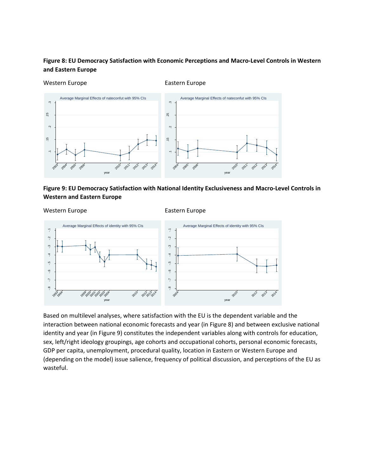# **Figure 8: EU Democracy Satisfaction with Economic Perceptions and Macro-Level Controls in Western and Eastern Europe**

Western Europe **Eastern Europe** Eastern Europe



# **Figure 9: EU Democracy Satisfaction with National Identity Exclusiveness and Macro-Level Controls in Western and Eastern Europe**

#### Western Europe **Eastern Europe** Eastern Europe



Based on multilevel analyses, where satisfaction with the EU is the dependent variable and the interaction between national economic forecasts and year (in Figure 8) and between exclusive national identity and year (in Figure 9) constitutes the independent variables along with controls for education, sex, left/right ideology groupings, age cohorts and occupational cohorts, personal economic forecasts, GDP per capita, unemployment, procedural quality, location in Eastern or Western Europe and (depending on the model) issue salience, frequency of political discussion, and perceptions of the EU as wasteful.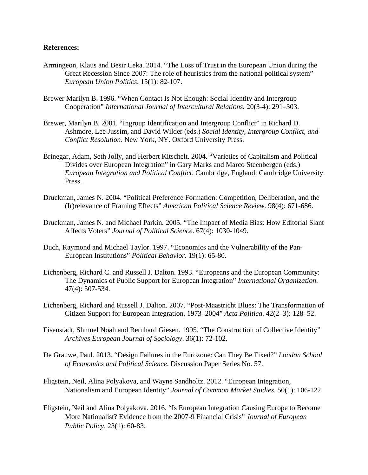### **References:**

- Armingeon, Klaus and Besir Ceka. 2014. "The Loss of Trust in the European Union during the Great Recession Since 2007: The role of heuristics from the national political system" *European Union Politics*. 15(1): 82-107.
- Brewer Marilyn B. 1996. "When Contact Is Not Enough: Social Identity and Intergroup Cooperation" *International Journal of Intercultural Relations.* 20(3-4): 291–303.
- Brewer, Marilyn B. 2001. "Ingroup Identification and Intergroup Conflict" in Richard D. Ashmore, Lee Jussim, and David Wilder (eds.) *Social Identity, Intergroup Conflict, and Conflict Resolution*. New York, NY. Oxford University Press.
- Brinegar, Adam, Seth Jolly, and Herbert Kitschelt. 2004. "Varieties of Capitalism and Political Divides over European Integration" in Gary Marks and Marco Steenbergen (eds.) *European Integration and Political Conflict*. Cambridge, England: Cambridge University Press.
- Druckman, James N. 2004. "Political Preference Formation: Competition, Deliberation, and the (Ir)relevance of Framing Effects" *American Political Science Review.* 98(4): 671-686.
- Druckman, James N. and Michael Parkin. 2005. "The Impact of Media Bias: How Editorial Slant Affects Voters" *Journal of Political Science*. 67(4): 1030-1049.
- Duch, Raymond and Michael Taylor. 1997. "Economics and the Vulnerability of the Pan-European Institutions" *Political Behavior*. 19(1): 65-80.
- Eichenberg, Richard C. and Russell J. Dalton. 1993. "Europeans and the European Community: The Dynamics of Public Support for European Integration" *International Organization*. 47(4): 507-534.
- Eichenberg, Richard and Russell J. Dalton. 2007. "Post-Maastricht Blues: The Transformation of Citizen Support for European Integration, 1973–2004" *Acta Politica*. 42(2–3): 128–52.
- Eisenstadt, Shmuel Noah and Bernhard Giesen. 1995. "The Construction of Collective Identity" *Archives European Journal of Sociology*. 36(1): 72-102.
- De Grauwe, Paul. 2013. "Design Failures in the Eurozone: Can They Be Fixed?" *London School of Economics and Political Science*. Discussion Paper Series No. 57.
- Fligstein, Neil, Alina Polyakova, and Wayne Sandholtz. 2012. "European Integration, Nationalism and European Identity" *Journal of Common Market Studies*. 50(1): 106-122.
- Fligstein, Neil and Alina Polyakova. 2016. "Is European Integration Causing Europe to Become More Nationalist? Evidence from the 2007-9 Financial Crisis" *Journal of European Public Policy*. 23(1): 60-83.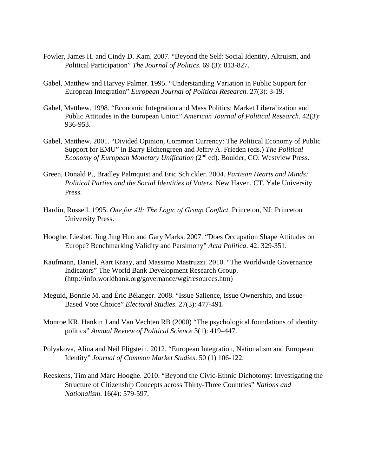- Fowler, James H. and Cindy D. Kam. 2007. "Beyond the Self: Social Identity, Altruism, and Political Participation" *The Journal of Politics*. 69 (3): 813-827.
- Gabel, Matthew and Harvey Palmer. 1995. "Understanding Variation in Public Support for European Integration" *European Journal of Political Research*. 27(3): 3-19.
- Gabel, Matthew. 1998. "Economic Integration and Mass Politics: Market Liberalization and Public Attitudes in the European Union" *American Journal of Political Research*. 42(3): 936-953.
- Gabel, Matthew. 2001. "Divided Opinion, Common Currency: The Political Economy of Public Support for EMU" in Barry Eichengreen and Jeffry A. Frieden (eds.) *The Political Economy of European Monetary Unification* (2<sup>nd</sup> ed). Boulder, CO: Westview Press.
- Green, Donald P., Bradley Palmquist and Eric Schickler. 2004. *Partisan Hearts and Minds: Political Parties and the Social Identities of Voters*. New Haven, CT. Yale University Press.
- Hardin, Russell. 1995. *One for All: The Logic of Group Conflict*. Princeton, NJ: Princeton University Press.
- Hooghe, Liesbet, Jing Jing Huo and Gary Marks. 2007. "Does Occupation Shape Attitudes on Europe? Benchmarking Validity and Parsimony" *Acta Politica*. 42: 329-351.
- Kaufmann, Daniel, Aart Kraay, and Massimo Mastruzzi. 2010. "The Worldwide Governance Indicators" The World Bank Development Research Group. (http://info.worldbank.org/governance/wgi/resources.htm)
- Meguid, Bonnie M. and Éric Bélanger. 2008. "Issue Salience, Issue Ownership, and Issue-Based Vote Choice" *Electoral Studies*. 27(3): 477-491.
- Monroe KR, Hankin J and Van Vechten RB (2000) "The psychological foundations of identity politics" *Annual Review of Political Science* 3(1): 419–447.
- Polyakova, Alina and Neil Fligstein. 2012. "European Integration, Nationalism and European Identity" *Journal of Common Market Studies*. 50 (1) 106-122.
- Reeskens, Tim and Marc Hooghe. 2010. "Beyond the Civic-Ethnic Dichotomy: Investigating the Structure of Citizenship Concepts across Thirty-Three Countries" *Nations and Nationalism*. 16(4): 579-597.